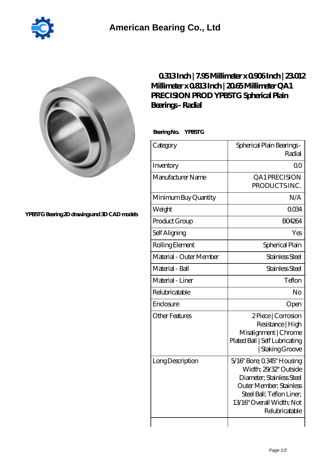



## **[YPB5TG Bearing 2D drawings and 3D CAD models](https://2reflex.de/pic-256003.html)**

## **[0.313 Inch | 7.95 Millimeter x 0.906 Inch | 23.012](https://2reflex.de/bz-256003-qa1-precision-prod-ypb5tg-spherical-plain-bearings-radial.html) [Millimeter x 0.813 Inch | 20.65 Millimeter QA1](https://2reflex.de/bz-256003-qa1-precision-prod-ypb5tg-spherical-plain-bearings-radial.html) [PRECISION PROD YPB5TG Spherical Plain](https://2reflex.de/bz-256003-qa1-precision-prod-ypb5tg-spherical-plain-bearings-radial.html) [Bearings - Radial](https://2reflex.de/bz-256003-qa1-precision-prod-ypb5tg-spherical-plain-bearings-radial.html)**

 **Bearing No. YPB5TG**

| Category                | Spherical Plain Bearings-<br>Radial                                                                                                                                                     |
|-------------------------|-----------------------------------------------------------------------------------------------------------------------------------------------------------------------------------------|
| Inventory               | 0 <sup>0</sup>                                                                                                                                                                          |
| Manufacturer Name       | QA1PRECISION<br>PRODUCTS INC.                                                                                                                                                           |
| Minimum Buy Quantity    | N/A                                                                                                                                                                                     |
| Weight                  | 0034                                                                                                                                                                                    |
| Product Group           | <b>BO4264</b>                                                                                                                                                                           |
| Self Aligning           | Yes                                                                                                                                                                                     |
| Rolling Element         | Spherical Plain                                                                                                                                                                         |
| Material - Outer Member | Stainless Steel                                                                                                                                                                         |
| Material - Ball         | Stainless Steel                                                                                                                                                                         |
| Material - Liner        | Teflon                                                                                                                                                                                  |
| Relubricatable          | No                                                                                                                                                                                      |
| Enclosure               | Open                                                                                                                                                                                    |
| <b>Other Features</b>   | 2Piece   Corrosion<br>Resistance   High<br>Misalignment   Chrome<br>Plated Ball   Self Lubricating<br>  Staking Groove                                                                  |
| Long Description        | 5/16" Bore; 0.345" Housing<br>Width: 29/32" Outside<br>Diameter; Stainless Steel<br>Outer Member; Stainless<br>Steel Ball; Teflon Liner;<br>13/16" Overall Width; Not<br>Relubricatable |
|                         |                                                                                                                                                                                         |